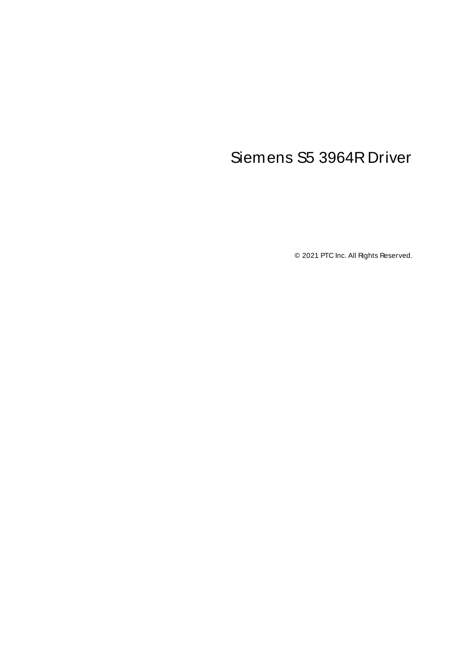# <span id="page-0-0"></span>Siemens S5 3964R Driver

© 2021 PTC Inc. All Rights Reserved.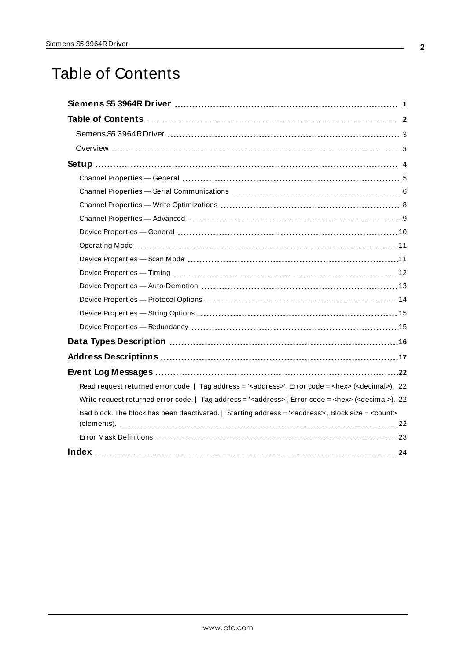# <span id="page-1-0"></span>Table of Contents

| Read request returned error code.   Tag address = ' <address>', Error code = <hex> (<decimal>). 22</decimal></hex></address>  |  |
|-------------------------------------------------------------------------------------------------------------------------------|--|
| Write request returned error code.   Tag address = ' <address>', Error code = <hex> (<decimal>). 22</decimal></hex></address> |  |
| Bad block. The block has been deactivated.   Starting address = ' <address>', Block size = <count></count></address>          |  |
|                                                                                                                               |  |
|                                                                                                                               |  |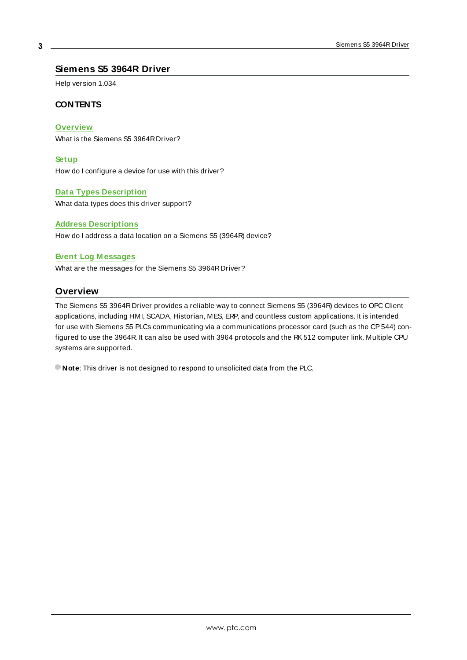## <span id="page-2-0"></span>**Siemens S5 3964R Driver**

Help version 1.034

#### **CONTENTS**

**[Overview](#page-2-1)**

What is the Siemens S5 3964RDriver?

**[Setup](#page-3-0)**

How do I configure a device for use with this driver?

#### **Data Types [Description](#page-15-0)**

What data types does this driver support?

#### **Address [Descriptions](#page-16-0)**

How do I address a data location on a Siemens S5 (3964R) device?

#### **Event Log [M essages](#page-21-1)**

<span id="page-2-1"></span>What are the messages for the Siemens S5 3964RDriver?

## **Overview**

The Siemens S5 3964RDriver provides a reliable way to connect Siemens S5 (3964R) devices to OPC Client applications, including HMI, SCADA, Historian, MES, ERP, and countless custom applications. It is intended for use with Siemens S5 PLCs communicating via a communications processor card (such as the CP544) configured to use the 3964R. It can also be used with 3964 protocols and the RK512 computer link. Multiple CPU systems are supported.

**Note:** This driver is not designed to respond to unsolicited data from the PLC.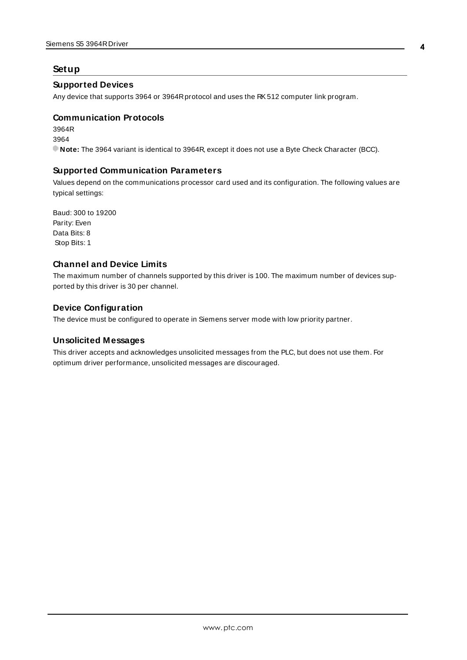### <span id="page-3-7"></span><span id="page-3-0"></span>**Setup**

#### **Supported Devices**

<span id="page-3-3"></span>Any device that supports 3964 or 3964Rprotocol and uses the RK512 computer link program.

#### **Communication Protocols**

3964R 3964 **Note:** The 3964 variant is identical to 3964R, except it does not use a Byte Check Character (BCC).

### <span id="page-3-2"></span>**Supported Communication Parameters**

Values depend on the communications processor card used and its configuration. The following values are typical settings:

<span id="page-3-6"></span><span id="page-3-5"></span><span id="page-3-4"></span><span id="page-3-1"></span>Baud: 300 to 19200 Parity: Even Data Bits: 8 Stop Bits: 1

#### **Channel and Device Limits**

The maximum number of channels supported by this driver is 100. The maximum number of devices supported by this driver is 30 per channel.

#### **Device Configuration**

<span id="page-3-8"></span>The device must be configured to operate in Siemens server mode with low priority partner.

#### **Unsolicited Messages**

This driver accepts and acknowledges unsolicited messages from the PLC, but does not use them. For optimum driver performance, unsolicited messages are discouraged.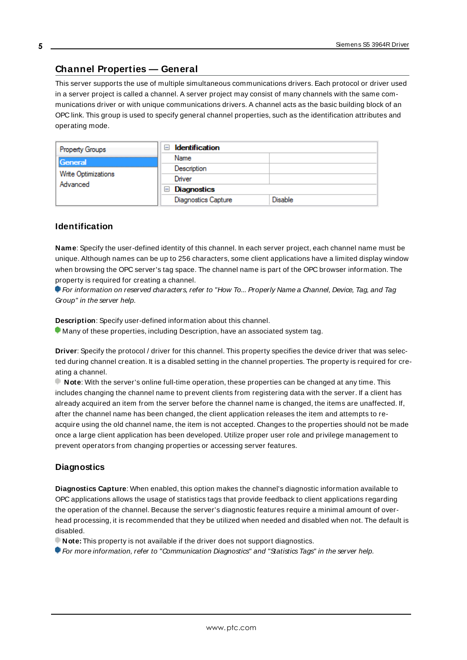## <span id="page-4-0"></span>**Channel Properties — General**

This server supports the use of multiple simultaneous communications drivers. Each protocol or driver used in a server project is called a channel. A server project may consist of many channels with the same communications driver or with unique communications drivers. A channel acts as the basic building block of an OPC link. This group is used to specify general channel properties, such as the identification attributes and operating mode.

| Property Groups                 | <b>Identification</b><br>$\overline{\phantom{a}}$ |                |
|---------------------------------|---------------------------------------------------|----------------|
| General                         | Name                                              |                |
|                                 | Description                                       |                |
| Write Optimizations<br>Advanced | Driver                                            |                |
|                                 | <b>Diagnostics</b><br>$\blacksquare$              |                |
|                                 | <b>Diagnostics Capture</b>                        | <b>Disable</b> |

#### **Identification**

**Name**: Specify the user-defined identity of this channel. In each server project, each channel name must be unique. Although names can be up to 256 characters, some client applications have a limited display window when browsing the OPC server's tag space. The channel name is part of the OPC browser information. The property is required for creating a channel.

For information on reserved characters, refer to "How To... Properly Name a Channel, Device, Tag, and Tag Group" in the server help.

**Description**: Specify user-defined information about this channel.

Many of these properties, including Description, have an associated system tag.

**Driver**: Specify the protocol / driver for this channel. This property specifies the device driver that was selected during channel creation. It is a disabled setting in the channel properties. The property is required for creating a channel.

**Note**: With the server's online full-time operation, these properties can be changed at any time. This includes changing the channel name to prevent clients from registering data with the server. If a client has already acquired an item from the server before the channel name is changed, the items are unaffected. If, after the channel name has been changed, the client application releases the item and attempts to reacquire using the old channel name, the item is not accepted. Changes to the properties should not be made once a large client application has been developed. Utilize proper user role and privilege management to prevent operators from changing properties or accessing server features.

#### **Diagnostics**

**Diagnostics Capture**: When enabled, this option makes the channel's diagnostic information available to OPC applications allows the usage of statistics tags that provide feedback to client applications regarding the operation of the channel. Because the server's diagnostic features require a minimal amount of overhead processing, it is recommended that they be utilized when needed and disabled when not. The default is disabled.

**Note:** This property is not available if the driver does not support diagnostics.

**• For more information, refer to "Communication Diagnostics" and "Statistics Tags" in the server help.**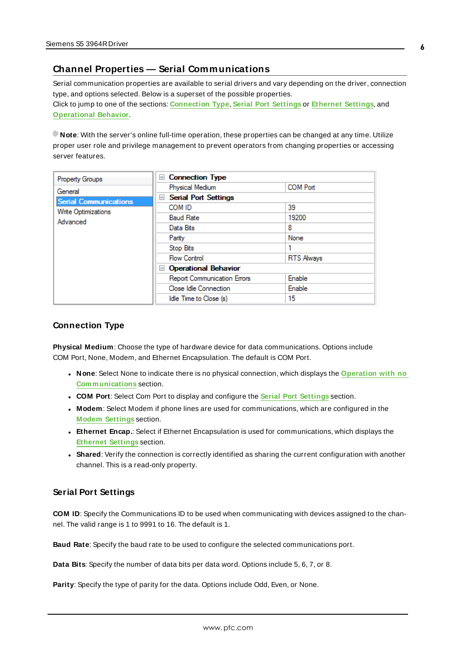## <span id="page-5-0"></span>**Channel Properties — Serial Communications**

Serial communication properties are available to serial drivers and vary depending on the driver, connection type, and options selected. Below is a superset of the possible properties. Click to jump to one of the sections: **[Connection](#page-5-1) Type**, **Serial Port [Settings](#page-5-2)** or **[Ethernet](#page-6-0) Settings**, and **[Operational](#page-6-1) Behavior**.

**Note**: With the server's online full-time operation, these properties can be changed at any time. Utilize proper user role and privilege management to prevent operators from changing properties or accessing server features.

| Property Groups              | <b>Connection Type</b><br>$=$           |                   |
|------------------------------|-----------------------------------------|-------------------|
| General                      | <b>Physical Medium</b>                  | <b>COM Port</b>   |
| <b>Serial Communications</b> | <b>Serial Port Settings</b><br>$\equiv$ |                   |
| Write Optimizations          | COM ID                                  | 39                |
| Advanced                     | <b>Baud Rate</b>                        | 19200             |
|                              | Data Bits                               | 8                 |
|                              | Parity                                  | None              |
|                              | Stop Bits                               |                   |
|                              | <b>Flow Control</b>                     | <b>RTS Always</b> |
|                              | <b>Operational Behavior</b><br>$=$      |                   |
|                              | <b>Report Communication Errors</b>      | Enable            |
|                              | Close Idle Connection                   | Enable            |
|                              | Idle Time to Close (s)                  | 15                |

#### <span id="page-5-1"></span>**Connection Type**

**Physical Medium**: Choose the type of hardware device for data communications. Options include COM Port, None, Modem, and Ethernet Encapsulation. The default is COM Port.

- <sup>l</sup> **None**: Select None to indicate there is no physical connection, which displays the **[Operation](#page-7-1) with no [Communications](#page-7-1)** section.
- <sup>l</sup> **COM Port**: Select Com Port to display and configure the **Serial Port [Settings](#page-5-2)** section.
- **Modem**: Select Modem if phone lines are used for communications, which are configured in the **Modem [Settings](#page-7-2)** section.
- **Ethernet Encap.**: Select if Ethernet Encapsulation is used for communications, which displays the **[Ethernet](#page-6-0) Settings** section.
- **Shared**: Verify the connection is correctly identified as sharing the current configuration with another channel. This is a read-only property.

#### <span id="page-5-2"></span>**Serial Port Settings**

**COM ID**: Specify the Communications ID to be used when communicating with devices assigned to the channel. The valid range is 1 to 9991 to 16. The default is 1.

**Baud Rate**: Specify the baud rate to be used to configure the selected communications port.

**Data Bits**: Specify the number of data bits per data word. Options include 5, 6, 7, or 8.

**Parity**: Specify the type of parity for the data. Options include Odd, Even, or None.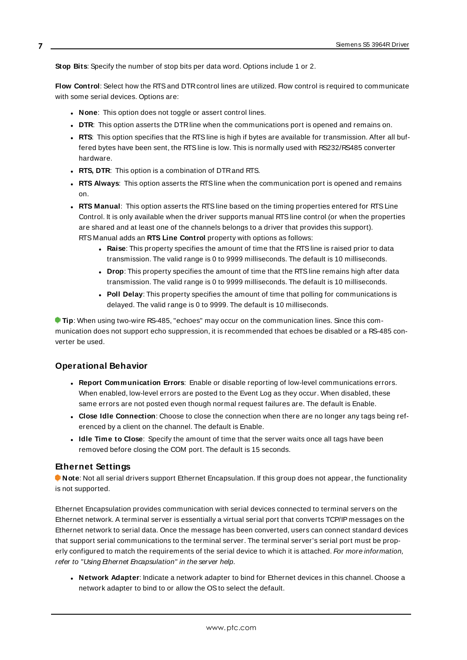**Stop Bits**: Specify the number of stop bits per data word. Options include 1 or 2.

**Flow Control**: Select how the RTSand DTRcontrol lines are utilized. Flow control is required to communicate with some serial devices. Options are:

- **None**: This option does not toggle or assert control lines.
- **DTR:** This option asserts the DTR line when the communications port is opened and remains on.
- **RTS:** This option specifies that the RTS line is high if bytes are available for transmission. After all buffered bytes have been sent, the RTSline is low. This is normally used with RS232/RS485 converter hardware.
- **RTS, DTR:** This option is a combination of DTR and RTS.
- <sup>l</sup> **RTS Always**: This option asserts the RTSline when the communication port is opened and remains on.
- <sup>l</sup> **RTS Manual**: This option asserts the RTSline based on the timing properties entered for RTSLine Control. It is only available when the driver supports manual RTSline control (or when the properties are shared and at least one of the channels belongs to a driver that provides this support). RTS Manual adds an **RTS Line Control** property with options as follows:
	- **Raise**: This property specifies the amount of time that the RTS line is raised prior to data transmission. The valid range is 0 to 9999 milliseconds. The default is 10 milliseconds.
	- **Drop**: This property specifies the amount of time that the RTS line remains high after data transmission. The valid range is 0 to 9999 milliseconds. The default is 10 milliseconds.
	- **Poll Delay**: This property specifies the amount of time that polling for communications is delayed. The valid range is 0 to 9999. The default is 10 milliseconds.

**Tip**: When using two-wire RS-485, "echoes" may occur on the communication lines. Since this communication does not support echo suppression, it is recommended that echoes be disabled or a RS-485 converter be used.

## <span id="page-6-1"></span>**Operational Behavior**

- <sup>l</sup> **Report Communication Errors**: Enable or disable reporting of low-level communications errors. When enabled, low-level errors are posted to the Event Log as they occur. When disabled, these same errors are not posted even though normal request failures are. The default is Enable.
- <sup>l</sup> **Close Idle Connection**: Choose to close the connection when there are no longer any tags being referenced by a client on the channel. The default is Enable.
- <sup>l</sup> **Idle Time to Close**: Specify the amount of time that the server waits once all tags have been removed before closing the COM port. The default is 15 seconds.

#### <span id="page-6-0"></span>**Ethernet Settings**

**Note**: Not all serial drivers support Ethernet Encapsulation. If this group does not appear, the functionality is not supported.

Ethernet Encapsulation provides communication with serial devices connected to terminal servers on the Ethernet network. A terminal server is essentially a virtual serial port that converts TCP/IP messages on the Ethernet network to serial data. Once the message has been converted, users can connect standard devices that support serial communications to the terminal server. The terminal server's serial port must be properly configured to match the requirements of the serial device to which it is attached. For more information, refer to "Using Ethernet Encapsulation" in the server help.

**· Network Adapter**: Indicate a network adapter to bind for Ethernet devices in this channel. Choose a network adapter to bind to or allow the OSto select the default.

**7**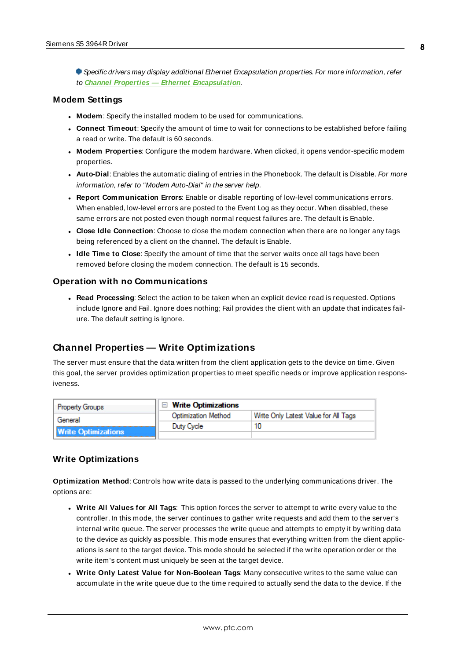Specific drivers may display additional Ethernet Encapsulation properties. For more information, refer to **Channel Properties — Ethernet Encapsulation**.

#### <span id="page-7-2"></span>**Modem Settings**

- **Modem**: Specify the installed modem to be used for communications.
- **Connect Timeout**: Specify the amount of time to wait for connections to be established before failing a read or write. The default is 60 seconds.
- <sup>l</sup> **Modem Properties**: Configure the modem hardware. When clicked, it opens vendor-specific modem properties.
- **Auto-Dial**: Enables the automatic dialing of entries in the Phonebook. The default is Disable. For more information, refer to "Modem Auto-Dial" in the server help.
- <sup>l</sup> **Report Communication Errors**: Enable or disable reporting of low-level communications errors. When enabled, low-level errors are posted to the Event Log as they occur. When disabled, these same errors are not posted even though normal request failures are. The default is Enable.
- **Close Idle Connection**: Choose to close the modem connection when there are no longer any tags being referenced by a client on the channel. The default is Enable.
- <sup>l</sup> **Idle Time to Close**: Specify the amount of time that the server waits once all tags have been removed before closing the modem connection. The default is 15 seconds.

#### <span id="page-7-1"></span>**Operation with no Communications**

**Read Processing**: Select the action to be taken when an explicit device read is requested. Options include Ignore and Fail. Ignore does nothing; Fail provides the client with an update that indicates failure. The default setting is Ignore.

## <span id="page-7-0"></span>**Channel Properties — Write Optimizations**

The server must ensure that the data written from the client application gets to the device on time. Given this goal, the server provides optimization properties to meet specific needs or improve application responsiveness.

| <b>Property Groups</b>     | $\Box$ Write Optimizations |                                      |
|----------------------------|----------------------------|--------------------------------------|
| General                    | <b>Optimization Method</b> | Write Only Latest Value for All Tags |
|                            | Duty Cycle                 |                                      |
| <b>Write Optimizations</b> |                            |                                      |

#### **Write Optimizations**

**Optimization Method**: Controls how write data is passed to the underlying communications driver. The options are:

- <sup>l</sup> **Write All Values for All Tags**: This option forces the server to attempt to write every value to the controller. In this mode, the server continues to gather write requests and add them to the server's internal write queue. The server processes the write queue and attempts to empty it by writing data to the device as quickly as possible. This mode ensures that everything written from the client applications is sent to the target device. This mode should be selected if the write operation order or the write item's content must uniquely be seen at the target device.
- <sup>l</sup> **Write Only Latest Value for Non-Boolean Tags**: Many consecutive writes to the same value can accumulate in the write queue due to the time required to actually send the data to the device. If the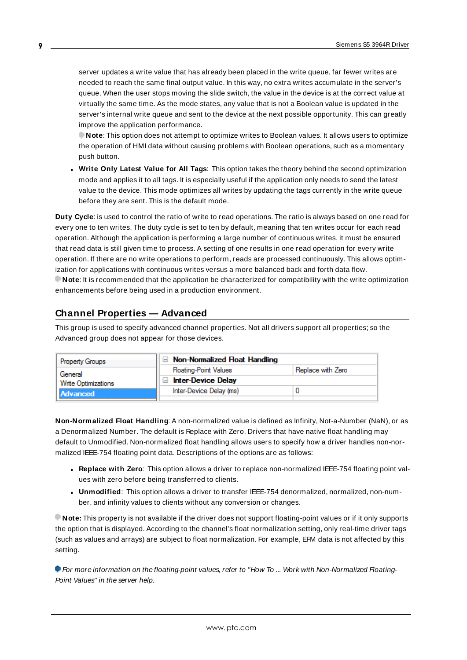server updates a write value that has already been placed in the write queue, far fewer writes are needed to reach the same final output value. In this way, no extra writes accumulate in the server's queue. When the user stops moving the slide switch, the value in the device is at the correct value at virtually the same time. As the mode states, any value that is not a Boolean value is updated in the server's internal write queue and sent to the device at the next possible opportunity. This can greatly improve the application performance.

**Note**: This option does not attempt to optimize writes to Boolean values. It allows users to optimize the operation of HMI data without causing problems with Boolean operations, such as a momentary push button.

<sup>l</sup> **Write Only Latest Value for All Tags**: This option takes the theory behind the second optimization mode and applies it to all tags. It is especially useful if the application only needs to send the latest value to the device. This mode optimizes all writes by updating the tags currently in the write queue before they are sent. This is the default mode.

**Duty Cycle**: is used to control the ratio of write to read operations. The ratio is always based on one read for every one to ten writes. The duty cycle is set to ten by default, meaning that ten writes occur for each read operation. Although the application is performing a large number of continuous writes, it must be ensured that read data is still given time to process. A setting of one results in one read operation for every write operation. If there are no write operations to perform, reads are processed continuously. This allows optimization for applications with continuous writes versus a more balanced back and forth data flow. **Note**: It is recommended that the application be characterized for compatibility with the write optimization enhancements before being used in a production environment.

## <span id="page-8-0"></span>**Channel Properties — Advanced**

This group is used to specify advanced channel properties. Not all drivers support all properties; so the Advanced group does not appear for those devices.

| <b>Property Groups</b>     | Non-Normalized Float Handling |                   |
|----------------------------|-------------------------------|-------------------|
| General                    | <b>Floating-Point Values</b>  | Replace with Zero |
| <b>Write Optimizations</b> | <b>Inter-Device Delay</b>     |                   |
| Advanced                   | Inter-Device Delay (ms)       |                   |
|                            |                               |                   |

**Non-Normalized Float Handling**: A non-normalized value is defined as Infinity, Not-a-Number (NaN), or as a Denormalized Number. The default is Replace with Zero. Drivers that have native float handling may default to Unmodified. Non-normalized float handling allows users to specify how a driver handles non-normalized IEEE-754 floating point data. Descriptions of the options are as follows:

- <sup>l</sup> **Replace with Zero**: This option allows a driver to replace non-normalized IEEE-754 floating point values with zero before being transferred to clients.
- <sup>l</sup> **Unmodified**: This option allows a driver to transfer IEEE-754 denormalized, normalized, non-number, and infinity values to clients without any conversion or changes.

**Note:** This property is not available if the driver does not support floating-point values or if it only supports the option that is displayed. According to the channel's float normalization setting, only real-time driver tags (such as values and arrays) are subject to float normalization. For example, EFM data is not affected by this setting.

For more information on the floating-point values, refer to "How To ... Work with Non-Normalized Floating-Point Values" in the server help.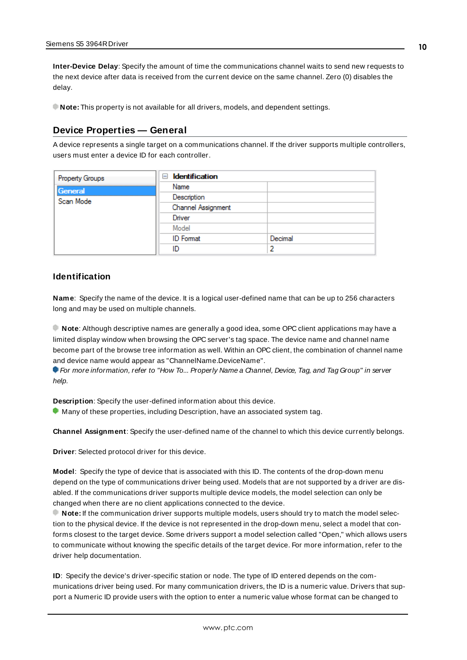**Inter-Device Delay**: Specify the amount of time the communications channel waits to send new requests to the next device after data is received from the current device on the same channel. Zero (0) disables the delay.

<span id="page-9-0"></span>**Note:** This property is not available for all drivers, models, and dependent settings.

## **Device Properties — General**

A device represents a single target on a communications channel. If the driver supports multiple controllers, users must enter a device ID for each controller.

| Property Groups | <b>Identification</b><br>$\equiv$ |         |
|-----------------|-----------------------------------|---------|
| General         | Name                              |         |
| Scan Mode       | Description                       |         |
|                 | Channel Assignment                |         |
|                 | Driver                            |         |
|                 | Model                             |         |
|                 | <b>ID</b> Format                  | Decimal |
|                 | ID                                | 2       |

#### <span id="page-9-4"></span>**Identification**

**Name**: Specify the name of the device. It is a logical user-defined name that can be up to 256 characters long and may be used on multiple channels.

**Note**: Although descriptive names are generally a good idea, some OPC client applications may have a limited display window when browsing the OPC server's tag space. The device name and channel name become part of the browse tree information as well. Within an OPC client, the combination of channel name and device name would appear as "ChannelName.DeviceName".

For more information, refer to "How To... Properly Name a Channel, Device, Tag, and Tag Group" in server help.

**Description**: Specify the user-defined information about this device.

<span id="page-9-1"></span>**Many of these properties, including Description, have an associated system tag.** 

<span id="page-9-2"></span>**Channel Assignment**: Specify the user-defined name of the channel to which this device currently belongs.

<span id="page-9-3"></span>**Driver**: Selected protocol driver for this device.

**Model**: Specify the type of device that is associated with this ID. The contents of the drop-down menu depend on the type of communications driver being used. Models that are not supported by a driver are disabled. If the communications driver supports multiple device models, the model selection can only be changed when there are no client applications connected to the device.

**Note:** If the communication driver supports multiple models, users should try to match the model selection to the physical device. If the device is not represented in the drop-down menu, select a model that conforms closest to the target device. Some drivers support a model selection called "Open," which allows users to communicate without knowing the specific details of the target device. For more information, refer to the driver help documentation.

**ID**: Specify the device's driver-specific station or node. The type of ID entered depends on the communications driver being used. For many communication drivers, the ID is a numeric value. Drivers that support a Numeric ID provide users with the option to enter a numeric value whose format can be changed to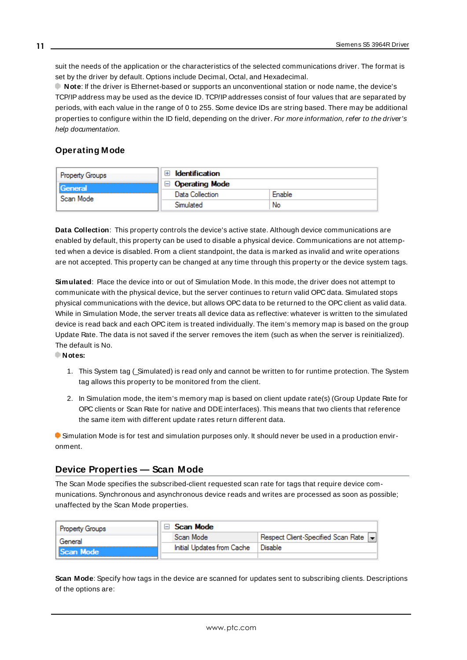<span id="page-10-3"></span>suit the needs of the application or the characteristics of the selected communications driver. The format is set by the driver by default. Options include Decimal, Octal, and Hexadecimal.

**Note**: If the driver is Ethernet-based or supports an unconventional station or node name, the device's TCP/IPaddress may be used as the device ID. TCP/IPaddresses consist of four values that are separated by periods, with each value in the range of 0 to 255. Some device IDs are string based. There may be additional properties to configure within the ID field, depending on the driver. For more information, refer to the driver's help documentation.

## <span id="page-10-0"></span>**Operating Mode**

| Property Groups | <b>Identification</b>         |        |
|-----------------|-------------------------------|--------|
| General         | <b>Operating Mode</b><br>$-1$ |        |
| Scan Mode       | Data Collection               | Enable |
|                 | Simulated                     | No     |

<span id="page-10-2"></span>**Data Collection**: This property controls the device's active state. Although device communications are enabled by default, this property can be used to disable a physical device. Communications are not attempted when a device is disabled. From a client standpoint, the data is marked as invalid and write operations are not accepted. This property can be changed at any time through this property or the device system tags.

<span id="page-10-5"></span>**Simulated**: Place the device into or out of Simulation Mode. In this mode, the driver does not attempt to communicate with the physical device, but the server continues to return valid OPC data. Simulated stops physical communications with the device, but allows OPC data to be returned to the OPC client as valid data. While in Simulation Mode, the server treats all device data as reflective: whatever is written to the simulated device is read back and each OPC item is treated individually. The item's memory map is based on the group Update Rate. The data is not saved if the server removes the item (such as when the server is reinitialized). The default is No.

**Notes:**

- 1. This System tag (\_Simulated) is read only and cannot be written to for runtime protection. The System tag allows this property to be monitored from the client.
- 2. In Simulation mode, the item's memory map is based on client update rate(s) (Group Update Rate for OPC clients or Scan Rate for native and DDEinterfaces). This means that two clients that reference the same item with different update rates return different data.

 Simulation Mode is for test and simulation purposes only. It should never be used in a production environment.

## <span id="page-10-1"></span>**Device Properties — Scan Mode**

The Scan Mode specifies the subscribed-client requested scan rate for tags that require device communications. Synchronous and asynchronous device reads and writes are processed as soon as possible; unaffected by the Scan Mode properties.

| <b>Property Groups</b> | Scan Mode                  |                                    |
|------------------------|----------------------------|------------------------------------|
| General                | Scan Mode                  | Respect Client-Specified Scan Rate |
| Scan Mode              | Initial Updates from Cache | Disable                            |
|                        |                            |                                    |

<span id="page-10-4"></span>**Scan Mode**: Specify how tags in the device are scanned for updates sent to subscribing clients. Descriptions of the options are: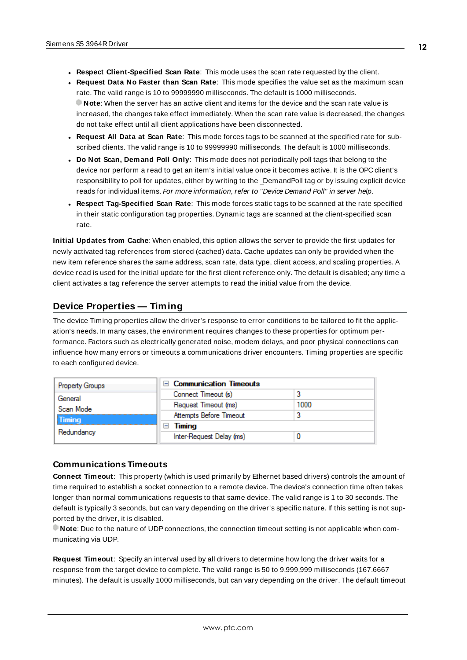- <sup>l</sup> **Respect Client-Specified Scan Rate**: This mode uses the scan rate requested by the client.
- <sup>l</sup> **Request Data No Faster than Scan Rate**: This mode specifies the value set as the maximum scan rate. The valid range is 10 to 99999990 milliseconds. The default is 1000 milliseconds. **Note**: When the server has an active client and items for the device and the scan rate value is increased, the changes take effect immediately. When the scan rate value is decreased, the changes do not take effect until all client applications have been disconnected.
- <sup>l</sup> **Request All Data at Scan Rate**: This mode forces tags to be scanned at the specified rate for subscribed clients. The valid range is 10 to 99999990 milliseconds. The default is 1000 milliseconds.
- <span id="page-11-3"></span><sup>l</sup> **Do Not Scan, Demand Poll Only**: This mode does not periodically poll tags that belong to the device nor perform a read to get an item's initial value once it becomes active. It is the OPC client's responsibility to poll for updates, either by writing to the \_DemandPoll tag or by issuing explicit device reads for individual items. For more information, refer to "Device Demand Poll" in server help.
- <span id="page-11-5"></span><sup>l</sup> **Respect Tag-Specified Scan Rate**: This mode forces static tags to be scanned at the rate specified in their static configuration tag properties. Dynamic tags are scanned at the client-specified scan rate.

<span id="page-11-4"></span>**Initial Updates from Cache**: When enabled, this option allows the server to provide the first updates for newly activated tag references from stored (cached) data. Cache updates can only be provided when the new item reference shares the same address, scan rate, data type, client access, and scaling properties. A device read is used for the initial update for the first client reference only. The default is disabled; any time a client activates a tag reference the server attempts to read the initial value from the device.

## <span id="page-11-1"></span><span id="page-11-0"></span>**Device Properties — Timing**

The device Timing properties allow the driver's response to error conditions to be tailored to fit the application's needs. In many cases, the environment requires changes to these properties for optimum performance. Factors such as electrically generated noise, modem delays, and poor physical connections can influence how many errors or timeouts a communications driver encounters. Timing properties are specific to each configured device.

| <b>Property Groups</b> | <b>Communication Timeouts</b><br>$\blacksquare$ |      |
|------------------------|-------------------------------------------------|------|
| General                | Connect Timeout (s)                             |      |
| Scan Mode              | Request Timeout (ms)                            | 1000 |
| <b>Timing</b>          | Attempts Before Timeout                         |      |
|                        | Timing<br>$\overline{}$                         |      |
| Redundancy             | Inter-Request Delay (ms)                        |      |

## <span id="page-11-2"></span>**Communications Timeouts**

**Connect Timeout**: This property (which is used primarily by Ethernet based drivers) controls the amount of time required to establish a socket connection to a remote device. The device's connection time often takes longer than normal communications requests to that same device. The valid range is 1 to 30 seconds. The default is typically 3 seconds, but can vary depending on the driver's specific nature. If this setting is not supported by the driver, it is disabled.

**Note**: Due to the nature of UDPconnections, the connection timeout setting is not applicable when communicating via UDP.

**Request Timeout**: Specify an interval used by all drivers to determine how long the driver waits for a response from the target device to complete. The valid range is 50 to 9,999,999 milliseconds (167.6667 minutes). The default is usually 1000 milliseconds, but can vary depending on the driver. The default timeout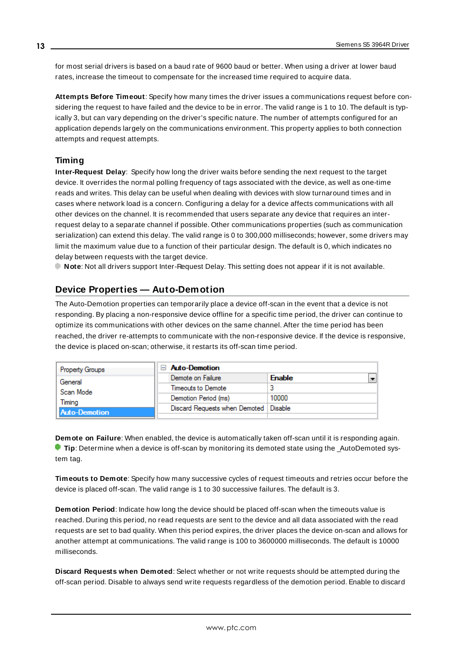<span id="page-12-5"></span>for most serial drivers is based on a baud rate of 9600 baud or better. When using a driver at lower baud rates, increase the timeout to compensate for the increased time required to acquire data.

<span id="page-12-1"></span>**Attempts Before Timeout**: Specify how many times the driver issues a communications request before considering the request to have failed and the device to be in error. The valid range is 1 to 10. The default is typically 3, but can vary depending on the driver's specific nature. The number of attempts configured for an application depends largely on the communications environment. This property applies to both connection attempts and request attempts.

#### <span id="page-12-4"></span>**Timing**

**Inter-Request Delay**: Specify how long the driver waits before sending the next request to the target device. It overrides the normal polling frequency of tags associated with the device, as well as one-time reads and writes. This delay can be useful when dealing with devices with slow turnaround times and in cases where network load is a concern. Configuring a delay for a device affects communications with all other devices on the channel. It is recommended that users separate any device that requires an interrequest delay to a separate channel if possible. Other communications properties (such as communication serialization) can extend this delay. The valid range is 0 to 300,000 milliseconds; however, some drivers may limit the maximum value due to a function of their particular design. The default is 0, which indicates no delay between requests with the target device.

<span id="page-12-0"></span>**Note**: Not all drivers support Inter-Request Delay. This setting does not appear if it is not available.

## **Device Properties — Auto-Demotion**

The Auto-Demotion properties can temporarily place a device off-scan in the event that a device is not responding. By placing a non-responsive device offline for a specific time period, the driver can continue to optimize its communications with other devices on the same channel. After the time period has been reached, the driver re-attempts to communicate with the non-responsive device. If the device is responsive, the device is placed on-scan; otherwise, it restarts its off-scan time period.

| <b>Property Groups</b> | $\Box$ Auto-Demotion                    |                                           |
|------------------------|-----------------------------------------|-------------------------------------------|
| General                | Demote on Failure                       | $\overline{\phantom{0}}$<br><b>Enable</b> |
| Scan Mode              | Timeouts to Demote                      |                                           |
| Timina                 | Demotion Period (ms)                    | 10000                                     |
| Auto-Demotion          | Discard Requests when Demoted   Disable |                                           |
|                        |                                         |                                           |

<span id="page-12-2"></span>**Demote on Failure**: When enabled, the device is automatically taken off-scan until it is responding again. **Tip:** Determine when a device is off-scan by monitoring its demoted state using the \_AutoDemoted system tag.

<span id="page-12-6"></span>**Timeouts to Demote**: Specify how many successive cycles of request timeouts and retries occur before the device is placed off-scan. The valid range is 1 to 30 successive failures. The default is 3.

<span id="page-12-3"></span>**Demotion Period**: Indicate how long the device should be placed off-scan when the timeouts value is reached. During this period, no read requests are sent to the device and all data associated with the read requests are set to bad quality. When this period expires, the driver places the device on-scan and allows for another attempt at communications. The valid range is 100 to 3600000 milliseconds. The default is 10000 milliseconds.

**Discard Requests when Demoted**: Select whether or not write requests should be attempted during the off-scan period. Disable to always send write requests regardless of the demotion period. Enable to discard

**13**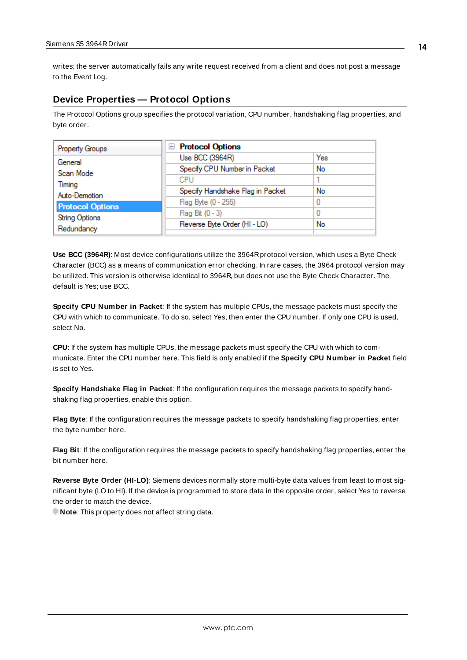<span id="page-13-2"></span>writes; the server automatically fails any write request received from a client and does not post a message to the Event Log.

## <span id="page-13-0"></span>**Device Properties — Protocol Options**

The Protocol Options group specifies the protocol variation, CPU number, handshaking flag properties, and byte order.

| Property Groups         | □ Protocol Options               |     |
|-------------------------|----------------------------------|-----|
| General                 | Use BCC (3964R)                  | Yes |
| Scan Mode               | Specify CPU Number in Packet     | No  |
| Timing                  | CPU                              |     |
| Auto-Demotion           | Specify Handshake Flag in Packet | No  |
| <b>Protocol Options</b> | Flag Byte (0 - 255)              |     |
| <b>String Options</b>   | Flag Bit (0 - 3)                 |     |
|                         | Reverse Byte Order (HI - LO)     | No  |
| Redundancy              |                                  |     |

<span id="page-13-8"></span>**Use BCC (3964R)**: Most device configurations utilize the 3964Rprotocol version, which uses a Byte Check Character (BCC) as a means of communication error checking. In rare cases, the 3964 protocol version may be utilized. This version is otherwise identical to 3964R, but does not use the Byte Check Character. The default is Yes; use BCC.

<span id="page-13-6"></span>**Specify CPU Number in Packet**: If the system has multiple CPUs, the message packets must specify the CPU with which to communicate. To do so, select Yes, then enter the CPU number. If only one CPU is used, select No.

<span id="page-13-1"></span>**CPU**: If the system has multiple CPUs, the message packets must specify the CPU with which to communicate. Enter the CPU number here. This field is only enabled if the **Specify CPU Number in Packet** field is set to Yes.

<span id="page-13-7"></span>**Specify Handshake Flag in Packet**: If the configuration requires the message packets to specify handshaking flag properties, enable this option.

<span id="page-13-4"></span>**Flag Byte**: If the configuration requires the message packets to specify handshaking flag properties, enter the byte number here.

<span id="page-13-3"></span>**Flag Bit**: If the configuration requires the message packets to specify handshaking flag properties, enter the bit number here.

<span id="page-13-5"></span>**Reverse Byte Order (HI-LO)**: Siemens devices normally store multi-byte data values from least to most significant byte (LO to HI). If the device is programmed to store data in the opposite order, select Yes to reverse the order to match the device.

**Note:** This property does not affect string data.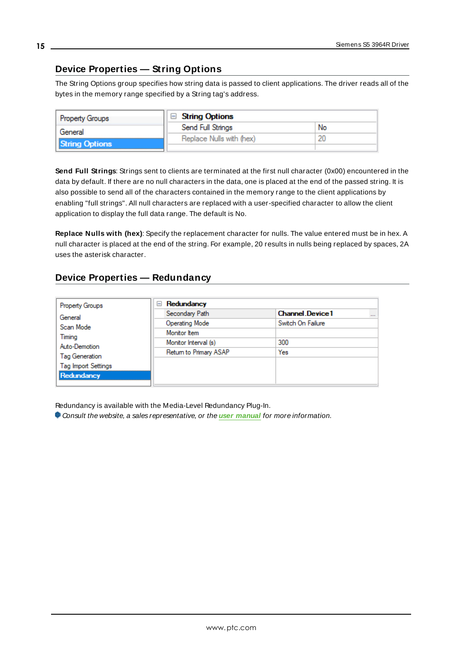# <span id="page-14-0"></span>**Device Properties — String Options**

The String Options group specifies how string data is passed to client applications. The driver reads all of the bytes in the memory range specified by a String tag's address.

| <b>Property Groups</b> | <b>String Options</b>    |    |
|------------------------|--------------------------|----|
| General                | Send Full Strings        | No |
| <b>String Options</b>  | Replace Nulls with (hex) |    |
|                        |                          |    |

<span id="page-14-3"></span>**Send Full Strings**: Strings sent to clients are terminated at the first null character (0x00) encountered in the data by default. If there are no null characters in the data, one is placed at the end of the passed string. It is also possible to send all of the characters contained in the memory range to the client applications by enabling "full strings". All null characters are replaced with a user-specified character to allow the client application to display the full data range. The default is No.

<span id="page-14-2"></span>**Replace Nulls with (hex)**: Specify the replacement character for nulls. The value entered must be in hex. A null character is placed at the end of the string. For example, 20 results in nulls being replaced by spaces, 2A uses the asterisk character.

# <span id="page-14-1"></span>**Device Properties — Redundancy**

| <b>Property Groups</b>     | Redundancy<br>$=$      |                                     |  |  |  |  |
|----------------------------|------------------------|-------------------------------------|--|--|--|--|
| General                    | Secondary Path         | <b>Channel Device 1</b><br>$\cdots$ |  |  |  |  |
| Scan Mode                  | Operating Mode         | Switch On Failure                   |  |  |  |  |
|                            | Monitor Item           |                                     |  |  |  |  |
| Timing<br>Auto-Demotion    | Monitor Interval (s)   | 300                                 |  |  |  |  |
| Tag Generation             | Return to Primary ASAP | Yes                                 |  |  |  |  |
| <b>Tag Import Settings</b> |                        |                                     |  |  |  |  |
| Redundancy                 |                        |                                     |  |  |  |  |

Redundancy is available with the Media-Level Redundancy Plug-In.

Consult the website, a sales representative, or the **user [manual](https://www.kepware.com/getattachment/35461efd-b53a-4219-a109-a89fad20b230/media-level-redundancy-manual.pdf)** for more information.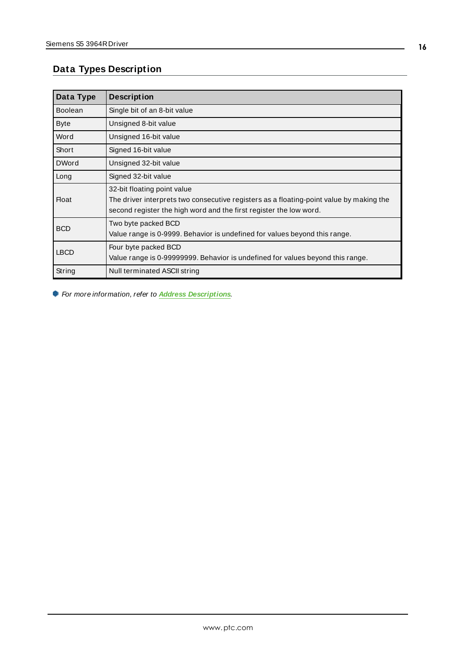# <span id="page-15-0"></span>**Data Types Description**

| Data Type      | <b>Description</b>                                                                                                                                                                           |
|----------------|----------------------------------------------------------------------------------------------------------------------------------------------------------------------------------------------|
| <b>Boolean</b> | Single bit of an 8-bit value                                                                                                                                                                 |
| <b>Byte</b>    | Unsigned 8-bit value                                                                                                                                                                         |
| Word           | Unsigned 16-bit value                                                                                                                                                                        |
| Short          | Signed 16-bit value                                                                                                                                                                          |
| <b>DWord</b>   | Unsigned 32-bit value                                                                                                                                                                        |
| Long           | Signed 32-bit value                                                                                                                                                                          |
| <b>Float</b>   | 32-bit floating point value<br>The driver interprets two consecutive registers as a floating-point value by making the<br>second register the high word and the first register the low word. |
| <b>BCD</b>     | Two byte packed BCD<br>Value range is 0-9999. Behavior is undefined for values beyond this range.                                                                                            |
| <b>LBCD</b>    | Four byte packed BCD<br>Value range is 0-99999999. Behavior is undefined for values beyond this range.                                                                                       |
| String         | Null terminated ASCII string                                                                                                                                                                 |

For more information, refer to **Address [Descriptions](#page-16-0)**.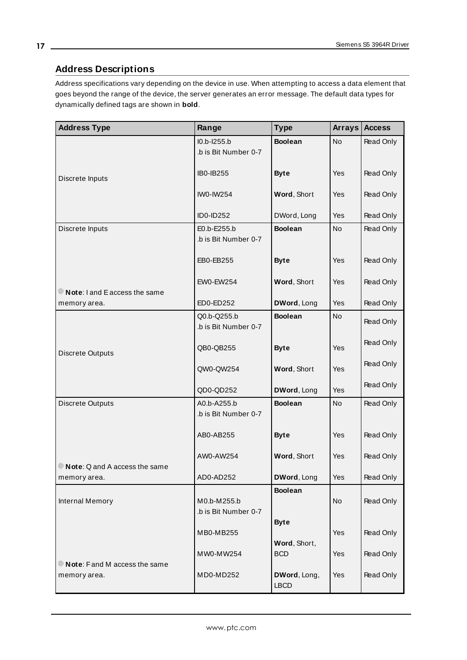## <span id="page-16-0"></span>**Address Descriptions**

Address specifications vary depending on the device in use. When attempting to access a data element that goes beyond the range of the device, the server generates an error message. The default data types for dynamically defined tags are shown in **bold**.

| <b>Address Type</b>                           | Range                                 | <b>Type</b>                 | <b>Arrays</b> | <b>Access</b> |
|-----------------------------------------------|---------------------------------------|-----------------------------|---------------|---------------|
|                                               | $IO.b-1255.b$<br>.b is Bit Number 0-7 | <b>Boolean</b>              | No            | Read Only     |
| Discrete Inputs                               | <b>IB0-IB255</b>                      | <b>Byte</b>                 | <b>Yes</b>    | Read Only     |
|                                               | <b>IWO-IW254</b>                      | Word, Short                 | <b>Yes</b>    | Read Only     |
|                                               | <b>ID0-ID252</b>                      | DWord, Long                 | <b>Yes</b>    | Read Only     |
| Discrete Inputs                               | E0.b-E255.b<br>.b is Bit Number 0-7   | <b>Boolean</b>              | <b>No</b>     | Read Only     |
|                                               | EB0-EB255                             | <b>Byte</b>                 | <b>Yes</b>    | Read Only     |
|                                               | <b>EW0-EW254</b>                      | Word, Short                 | <b>Yes</b>    | Read Only     |
| Note: I and E access the same<br>memory area. | ED0-ED252                             | DWord, Long                 | Yes           | Read Only     |
|                                               | Q0.b-Q255.b                           | <b>Boolean</b>              | <b>No</b>     | Read Only     |
|                                               | .b is Bit Number 0-7                  |                             |               |               |
| <b>Discrete Outputs</b>                       | QB0-QB255                             | <b>Byte</b>                 | Yes           | Read Only     |
|                                               | QW0-QW254                             | Word, Short                 | Yes           | Read Only     |
|                                               | QD0-QD252                             | DWord, Long                 | <b>Yes</b>    | Read Only     |
| Discrete Outputs                              | A0.b-A255.b<br>b is Bit Number 0-7.   | <b>Boolean</b>              | <b>No</b>     | Read Only     |
|                                               | AB0-AB255                             | <b>Byte</b>                 | <b>Yes</b>    | Read Only     |
|                                               | AW0-AW254                             | Word, Short                 | <b>Yes</b>    | Read Only     |
| Note: Q and A access the same<br>memory area. | AD0-AD252                             | DWord, Long                 | Yes           | Read Only     |
| Internal Memory                               | M0.b-M255.b<br>.b is Bit Number 0-7   | <b>Boolean</b>              | No            | Read Only     |
|                                               | MB0-MB255                             | <b>Byte</b><br>Word, Short, | Yes           | Read Only     |
| Note: Fand M access the same                  | MW0-MW254                             | <b>BCD</b>                  | Yes           | Read Only     |
| memory area.                                  | MD0-MD252                             | DWord, Long,<br><b>LBCD</b> | Yes           | Read Only     |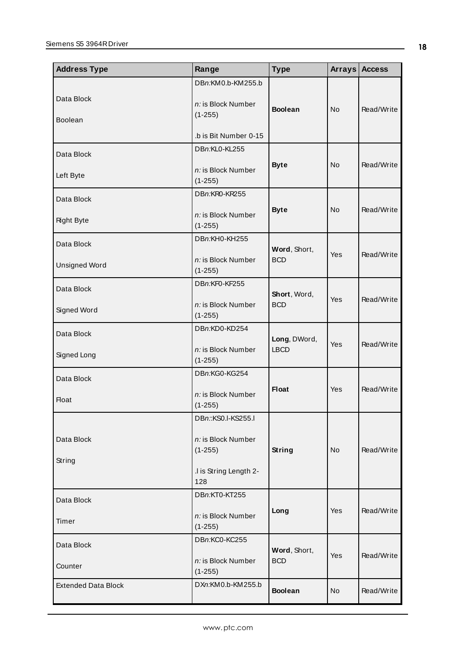| <b>Address Type</b>                | Range                                                                                  | <b>Type</b>                 | Arrays $ $     | <b>Access</b> |
|------------------------------------|----------------------------------------------------------------------------------------|-----------------------------|----------------|---------------|
| Data Block<br><b>Boolean</b>       | DBn:KM0.b-KM255.b<br>n: is Block Number<br>$(1-255)$<br>.b is Bit Number 0-15          | <b>Boolean</b>              | N <sub>o</sub> | Read/Write    |
| Data Block<br>Left Byte            | DBn:KL0-KL255<br>n: is Block Number<br>$(1 - 255)$                                     | <b>Byte</b>                 | <b>No</b>      | Read/Write    |
| Data Block<br><b>Right Byte</b>    | DBn:KR0-KR255<br>n: is Block Number<br>$(1 - 255)$                                     | <b>Byte</b>                 | <b>No</b>      | Read/Write    |
| Data Block<br><b>Unsigned Word</b> | DBn:KH0-KH255<br>n: is Block Number<br>$(1-255)$                                       | Word, Short,<br><b>BCD</b>  | Yes            | Read/Write    |
| Data Block<br>Signed Word          | DBn:KF0-KF255<br>n: is Block Number<br>$(1 - 255)$                                     | Short, Word,<br><b>BCD</b>  | Yes            | Read/Write    |
| Data Block<br>Signed Long          | DBn:KD0-KD254<br>n: is Block Number<br>$(1-255)$                                       | Long, DWord,<br><b>LBCD</b> | <b>Yes</b>     | Read/Write    |
| Data Block<br><b>Float</b>         | DBn:KG0-KG254<br>n: is Block Number<br>$(1-255)$                                       | <b>Float</b>                | <b>Yes</b>     | Read/Write    |
| Data Block<br>String               | DBn::KS0.I-KS255.I<br>n: is Block Number<br>$(1-255)$<br>.I is String Length 2-<br>128 | <b>String</b>               | <b>No</b>      | Read/Write    |
| Data Block<br>Timer                | DBn:KT0-KT255<br>n: is Block Number<br>$(1-255)$                                       | Long                        | Yes            | Read/Write    |
| Data Block<br>Counter              | DBn:KC0-KC255<br>n: is Block Number<br>$(1-255)$                                       | Word, Short,<br><b>BCD</b>  | Yes            | Read/Write    |
| <b>Extended Data Block</b>         | DXn:KM0.b-KM255.b                                                                      | <b>Boolean</b>              | No             | Read/Write    |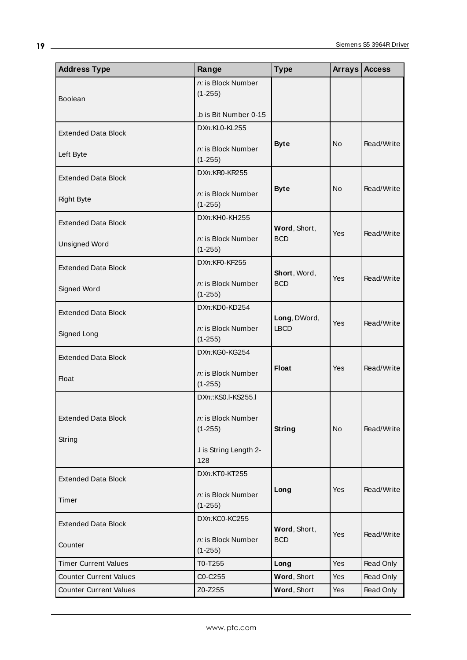| <b>Address Type</b>           | Range                            | <b>Type</b>                | <b>Arrays</b> | <b>Access</b> |
|-------------------------------|----------------------------------|----------------------------|---------------|---------------|
|                               | n: is Block Number               |                            |               |               |
| <b>Boolean</b>                | $(1-255)$                        |                            |               |               |
|                               | .b is Bit Number 0-15            |                            |               |               |
| <b>Extended Data Block</b>    | DXn:KL0-KL255                    |                            |               |               |
|                               | n: is Block Number               | <b>Byte</b>                | No            | Read/Write    |
| Left Byte                     | $(1-255)$                        |                            |               |               |
|                               | DXn:KR0-KR255                    |                            |               |               |
| <b>Extended Data Block</b>    |                                  | <b>Byte</b>                | <b>No</b>     | Read/Write    |
| <b>Right Byte</b>             | n: is Block Number               |                            |               |               |
|                               | $(1-255)$                        |                            |               |               |
| <b>Extended Data Block</b>    | DXn:KH0-KH255                    | Word, Short,               |               |               |
|                               | n: is Block Number               | <b>BCD</b>                 | Yes           | Read/Write    |
| <b>Unsigned Word</b>          | $(1-255)$                        |                            |               |               |
| <b>Extended Data Block</b>    | DXn:KF0-KF255                    |                            |               |               |
|                               |                                  | Short, Word,               | <b>Yes</b>    | Read/Write    |
| Signed Word                   | n: is Block Number<br>$(1-255)$  | <b>BCD</b>                 |               |               |
|                               | DXn:KD0-KD254                    |                            |               |               |
| <b>Extended Data Block</b>    |                                  | Long, DWord,               | <b>Yes</b>    | Read/Write    |
| Signed Long                   | n: is Block Number               | <b>LBCD</b>                |               |               |
|                               | $(1-255)$                        |                            |               |               |
| <b>Extended Data Block</b>    | DXn:KG0-KG254                    |                            |               |               |
|                               | n: is Block Number               | Float                      | <b>Yes</b>    | Read/Write    |
| <b>Float</b>                  | $(1-255)$                        |                            |               |               |
|                               | DXn::KS0.I-KS255.I               |                            |               |               |
|                               |                                  |                            |               |               |
| <b>Extended Data Block</b>    | n: is Block Number<br>$(1-255)$  | <b>String</b>              | No            | Read/Write    |
| String                        |                                  |                            |               |               |
|                               | .I is String Length 2-<br>128    |                            |               |               |
|                               | DXn:KT0-KT255                    |                            |               |               |
| <b>Extended Data Block</b>    |                                  | Long                       | Yes           | Read/Write    |
| Timer                         | n: is Block Number<br>$(1-255)$  |                            |               |               |
| <b>Extended Data Block</b>    | DXn:KC0-KC255                    |                            |               |               |
|                               | n: is Block Number               | Word, Short,<br><b>BCD</b> | Yes           | Read/Write    |
| Counter                       | $(1-255)$                        |                            |               |               |
| <b>Timer Current Values</b>   | T0-T255                          | Long                       | Yes           | Read Only     |
| <b>Counter Current Values</b> | C <sub>0</sub> -C <sub>255</sub> | Word, Short                | Yes           | Read Only     |
| <b>Counter Current Values</b> | Z0-Z255                          | Word, Short                | Yes           | Read Only     |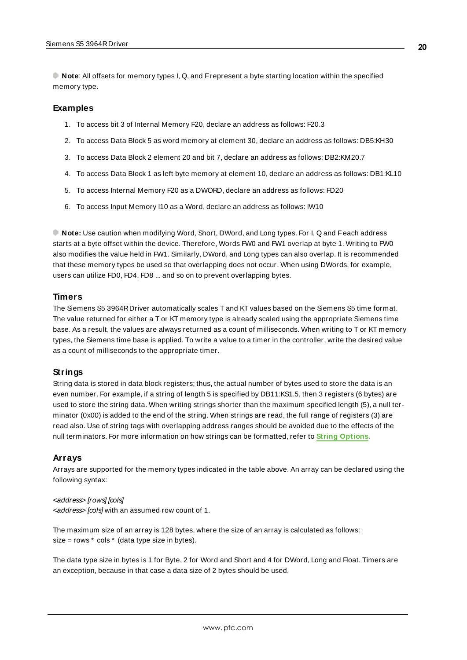**Note**: All offsets for memory types I, Q, and Frepresent a byte starting location within the specified memory type.

#### **Examples**

- 1. To access bit 3 of Internal Memory F20, declare an address as follows: F20.3
- 2. To access Data Block 5 as word memory at element 30, declare an address as follows: DB5:KH30
- 3. To access Data Block 2 element 20 and bit 7, declare an address as follows: DB2:KM20.7
- 4. To access Data Block 1 as left byte memory at element 10, declare an address as follows: DB1:KL10
- 5. To access Internal Memory F20 as a DWORD, declare an address as follows: FD20
- 6. To access Input Memory I10 as a Word, declare an address as follows: IW10

**Note:** Use caution when modifying Word, Short, DWord, and Long types. For I, Q and Feach address starts at a byte offset within the device. Therefore, Words FW0 and FW1 overlap at byte 1. Writing to FW0 also modifies the value held in FW1. Similarly, DWord, and Long types can also overlap. It is recommended that these memory types be used so that overlapping does not occur. When using DWords, for example, users can utilize FD0, FD4, FD8 ... and so on to prevent overlapping bytes.

#### **Timers**

The Siemens S5 3964RDriver automatically scales T and KT values based on the Siemens S5 time format. The value returned for either a T or KT memory type is already scaled using the appropriate Siemens time base. As a result, the values are always returned as a count of milliseconds. When writing to T or KT memory types, the Siemens time base is applied. To write a value to a timer in the controller, write the desired value as a count of milliseconds to the appropriate timer.

#### **Strings**

String data is stored in data block registers; thus, the actual number of bytes used to store the data is an even number. For example, if a string of length 5 is specified by DB11:KS1.5, then 3 registers (6 bytes) are used to store the string data. When writing strings shorter than the maximum specified length (5), a null terminator (0x00) is added to the end of the string. When strings are read, the full range of registers (3) are read also. Use of string tags with overlapping address ranges should be avoided due to the effects of the null terminators. For more information on how strings can be formatted, refer to **String [Options](#page-14-0)**.

#### **Arrays**

Arrays are supported for the memory types indicated in the table above. An array can be declared using the following syntax:

#### <address> [rows] [cols]

<address> [cols] with an assumed row count of 1.

The maximum size of an array is 128 bytes, where the size of an array is calculated as follows:  $size = rows * cos * (data type size in bytes).$ 

The data type size in bytes is 1 for Byte, 2 for Word and Short and 4 for DWord, Long and Float. Timers are an exception, because in that case a data size of 2 bytes should be used.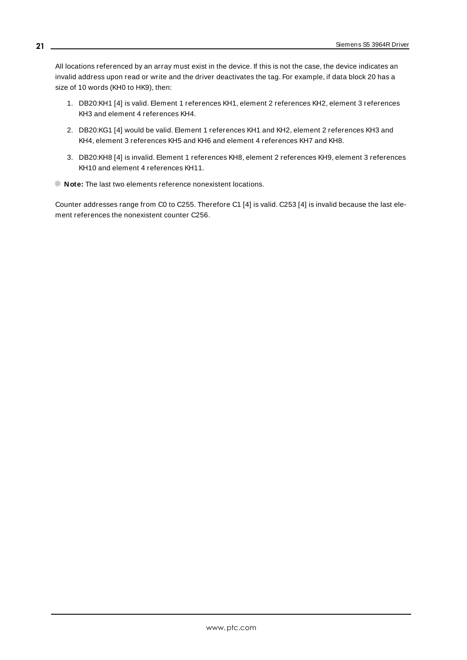All locations referenced by an array must exist in the device. If this is not the case, the device indicates an invalid address upon read or write and the driver deactivates the tag. For example, if data block 20 has a size of 10 words (KH0 to HK9), then:

- 1. DB20:KH1 [4] is valid. Element 1 references KH1, element 2 references KH2, element 3 references KH3 and element 4 references KH4.
- 2. DB20:KG1 [4] would be valid. Element 1 references KH1 and KH2, element 2 references KH3 and KH4, element 3 references KH5 and KH6 and element 4 references KH7 and KH8.
- 3. DB20:KH8 [4] is invalid. Element 1 references KH8, element 2 references KH9, element 3 references KH10 and element 4 references KH11.
- **Note:** The last two elements reference nonexistent locations.

Counter addresses range from C0 to C255. Therefore C1 [4] is valid. C253 [4] is invalid because the last element references the nonexistent counter C256.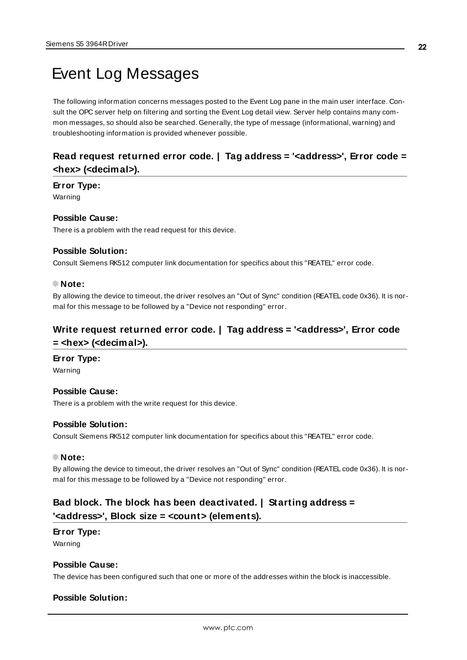# <span id="page-21-0"></span>Event Log Messages

The following information concerns messages posted to the Event Log pane in the main user interface. Consult the OPC server help on filtering and sorting the Event Log detail view. Server help contains many common messages, so should also be searched. Generally, the type of message (informational, warning) and troubleshooting information is provided whenever possible.

## <span id="page-21-1"></span>**Read request returned error code. | Tag address = '<address>', Error code = <hex> (<decimal>).**

#### **Error Type:**

Warning

#### **Possible Cause:**

There is a problem with the read request for this device.

#### **Possible Solution:**

Consult Siemens RK512 computer link documentation for specifics about this "REATEL" error code.

#### **Note:**

By allowing the device to timeout, the driver resolves an "Out of Sync" condition (REATEL code 0x36). It is normal for this message to be followed by a "Device not responding" error.

## <span id="page-21-2"></span>**Write request returned error code. | Tag address = '<address>', Error code = <hex> (<decimal>).**

#### **Error Type:**

Warning

#### **Possible Cause:**

There is a problem with the write request for this device.

#### **Possible Solution:**

Consult Siemens RK512 computer link documentation for specifics about this "REATEL" error code.

#### **Note:**

By allowing the device to timeout, the driver resolves an "Out of Sync" condition (REATEL code 0x36). It is normal for this message to be followed by a "Device not responding" error.

## <span id="page-21-3"></span>**Bad block. The block has been deactivated. | Starting address = '<address>', Block size = <count> (elements).**

#### **Error Type:**

Warning

#### **Possible Cause:**

The device has been configured such that one or more of the addresses within the block is inaccessible.

#### **Possible Solution:**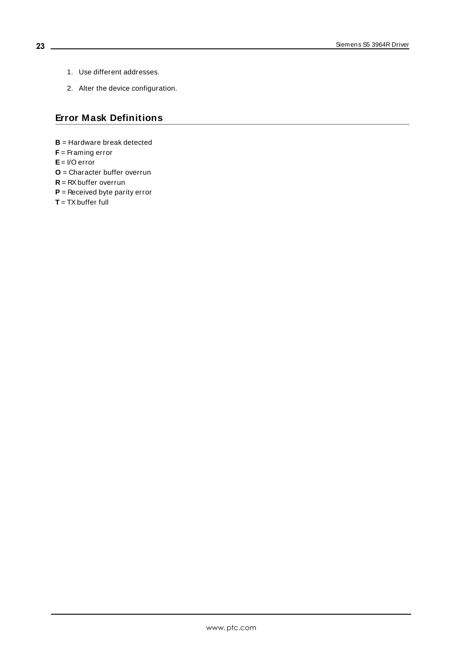- 1. Use different addresses.
- 2. Alter the device configuration.

## <span id="page-22-0"></span>**Error Mask Definitions**

- **B** = Hardware break detected
- **F** = Framing error
- **E**= I/O error
- **O** = Character buffer overrun
- **R** = RXbuffer overrun
- **P** = Received byte parity error
- **T** = TXbuffer full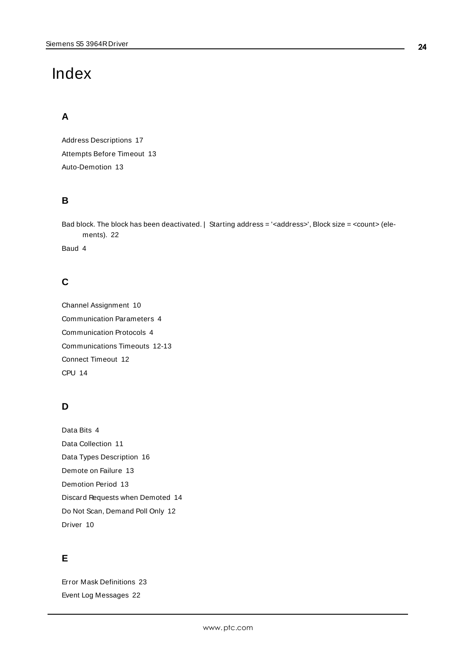# <span id="page-23-0"></span>Index

# **A**

Address Descriptions [17](#page-16-0) Attempts Before Timeout [13](#page-12-1) Auto-Demotion [13](#page-12-0)

## **B**

Bad block. The block has been deactivated. | Starting address = '<address>', Block size = <count> (elements). [22](#page-21-3)

Baud [4](#page-3-1)

# **C**

Channel Assignment [10](#page-9-1) Communication Parameters [4](#page-3-2) Communication Protocols [4](#page-3-3) Communications Timeouts [12-13](#page-11-1) Connect Timeout [12](#page-11-2) CPU [14](#page-13-1)

# **D**

Data Bits [4](#page-3-4) Data Collection [11](#page-10-2) Data Types Description [16](#page-15-0) Demote on Failure [13](#page-12-2) Demotion Period [13](#page-12-3) Discard Requests when Demoted [14](#page-13-2) Do Not Scan, Demand Poll Only [12](#page-11-3) Driver [10](#page-9-2)

# **E**

Error Mask Definitions [23](#page-22-0) Event Log Messages [22](#page-21-0)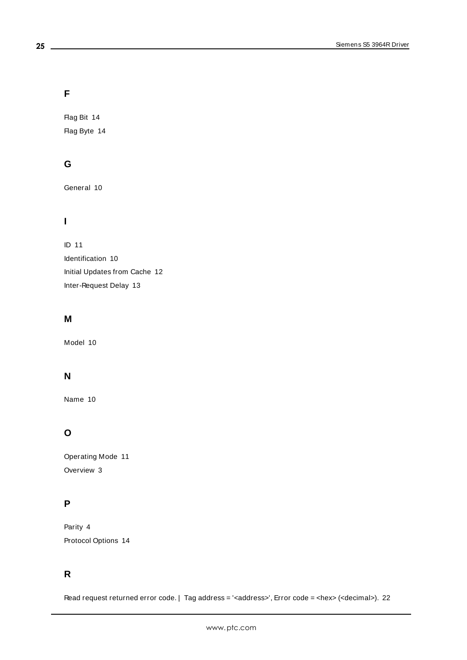## **F**

Flag Bit [14](#page-13-3) Flag Byte [14](#page-13-4)

## **G**

General [10](#page-9-0)

# **I**

ID [11](#page-10-3) Identification [10](#page-9-0) Initial Updates from Cache [12](#page-11-4) Inter-Request Delay [13](#page-12-4)

## **M**

Model [10](#page-9-3)

# **N**

Name [10](#page-9-4)

# **O**

Operating Mode [11](#page-10-0) Overview [3](#page-2-1)

# **P**

Parity [4](#page-3-5) Protocol Options [14](#page-13-0)

# **R**

Read request returned error code. | Tag address = '<address>', Error code = <hex> (<decimal>). [22](#page-21-1)